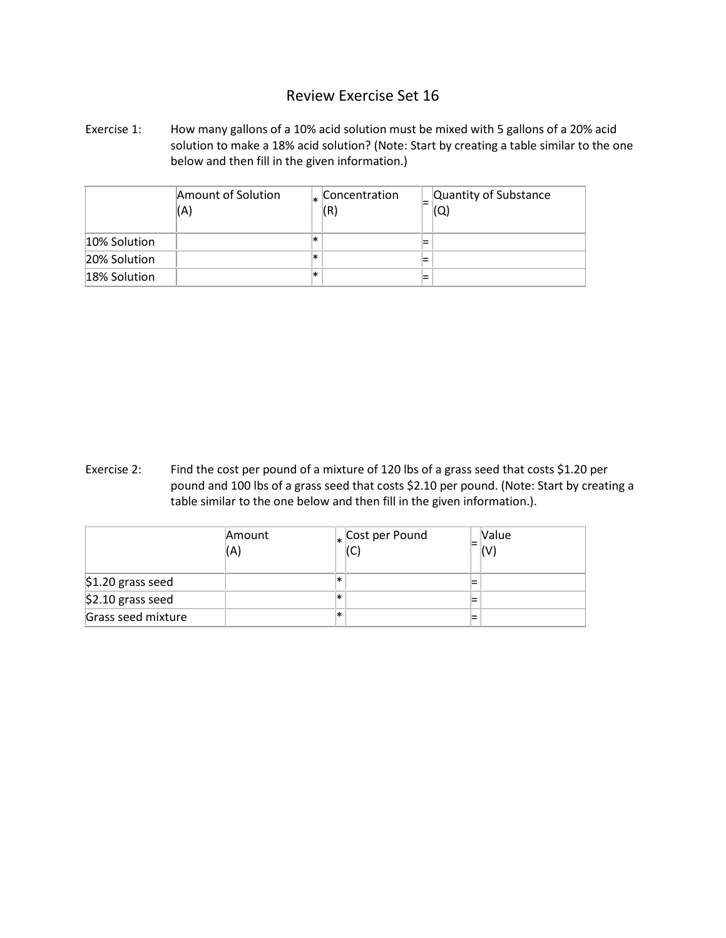## Review Exercise Set 16

Exercise 1: How many gallons of a 10% acid solution must be mixed with 5 gallons of a 20% acid solution to make a 18% acid solution? (Note: Start by creating a table similar to the one below and then fill in the given information.)

|              | Amount of Solution<br>(A) |     | Concentration<br>(R) | Quantity of Substance |
|--------------|---------------------------|-----|----------------------|-----------------------|
| 10% Solution |                           | ×   |                      |                       |
| 20% Solution |                           | ι∗κ |                      |                       |
| 18% Solution |                           | ∗   |                      |                       |

Exercise 2: Find the cost per pound of a mixture of 120 lbs of a grass seed that costs \$1.20 per pound and 100 lbs of a grass seed that costs \$2.10 per pound. (Note: Start by creating a table similar to the one below and then fill in the given information.).

|                    | Amount<br>(A) |   | $\vert_*$ Cost per Pound<br>(C) | <b>Nalue</b><br>(V) |
|--------------------|---------------|---|---------------------------------|---------------------|
| \$1.20 grass seed  |               | * |                                 |                     |
| \$2.10 grass seed  |               | * |                                 |                     |
| Grass seed mixture |               | ∗ |                                 |                     |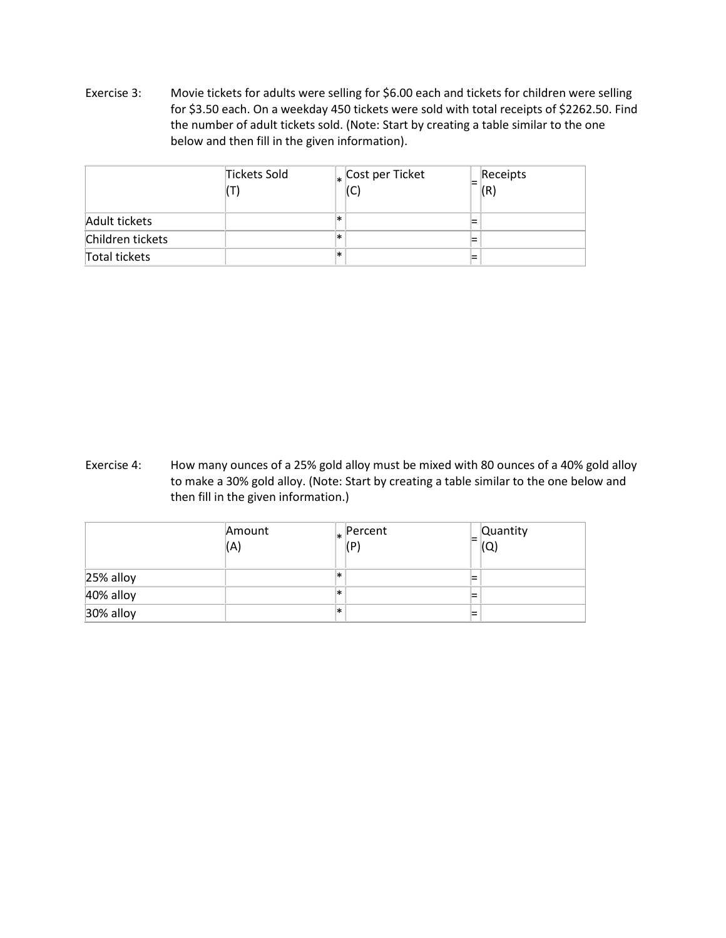Exercise 3: Movie tickets for adults were selling for \$6.00 each and tickets for children were selling for \$3.50 each. On a weekday 450 tickets were sold with total receipts of \$2262.50. Find the number of adult tickets sold. (Note: Start by creating a table similar to the one below and then fill in the given information).

|                  | Tickets Sold |   | $\vert_{*}\vert$ Cost per Ticket | Receipts |
|------------------|--------------|---|----------------------------------|----------|
| Adult tickets    |              | * |                                  |          |
| Children tickets |              | * |                                  |          |
| Total tickets    |              | ∗ |                                  |          |

Exercise 4: How many ounces of a 25% gold alloy must be mixed with 80 ounces of a 40% gold alloy to make a 30% gold alloy. (Note: Start by creating a table similar to the one below and then fill in the given information.)

|           | Amount<br>(A) |     | $\vert_* \vert$ Percent<br>(P) |        | <b>Quantity</b><br>$=$ $\sim$<br>IŲ |
|-----------|---------------|-----|--------------------------------|--------|-------------------------------------|
| 25% alloy |               | l∗k |                                | =      |                                     |
| 40% alloy |               | l∗k |                                | -<br>- |                                     |
| 30% alloy |               | l∗k |                                | =      |                                     |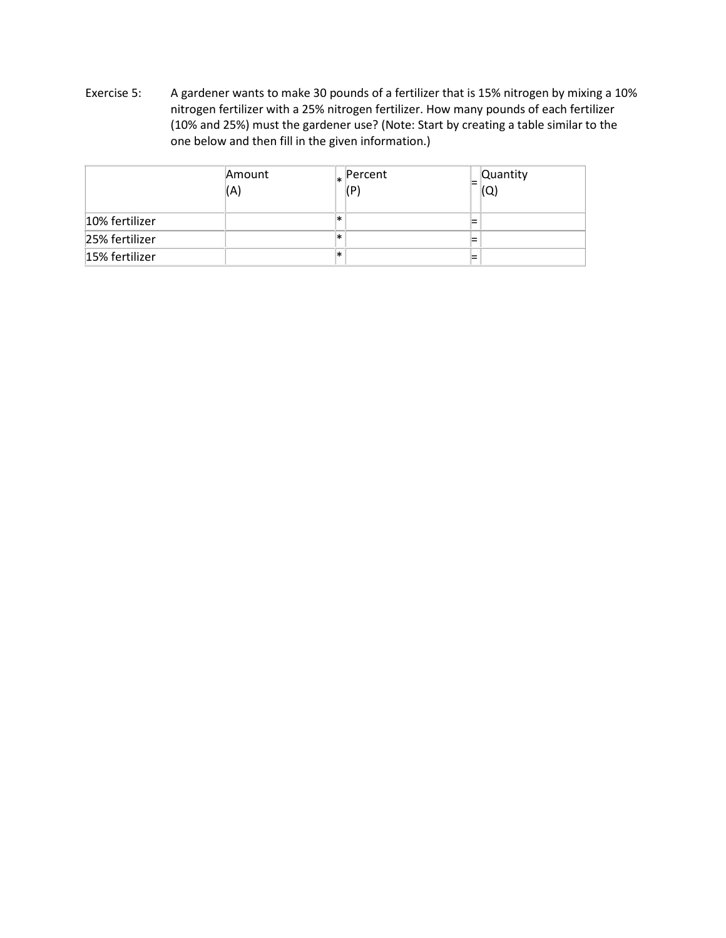Exercise 5: A gardener wants to make 30 pounds of a fertilizer that is 15% nitrogen by mixing a 10% nitrogen fertilizer with a 25% nitrogen fertilizer. How many pounds of each fertilizer (10% and 25%) must the gardener use? (Note: Start by creating a table similar to the one below and then fill in the given information.)

|                | Amount<br>(A) |     | $\vert_* \vert$ Percent<br>(P) | <b>Quantity</b><br>(Q |  |
|----------------|---------------|-----|--------------------------------|-----------------------|--|
| 10% fertilizer |               | *   |                                |                       |  |
| 25% fertilizer |               | l∗k |                                | ⋍                     |  |
| 15% fertilizer |               | l∗k |                                | =                     |  |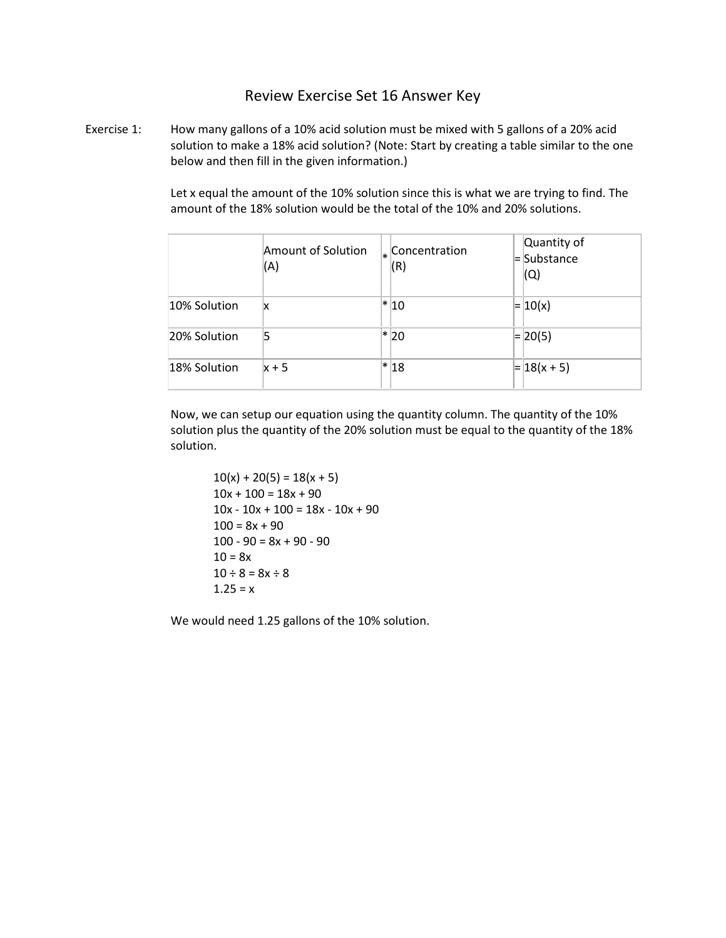## Review Exercise Set 16 Answer Key

Exercise 1: How many gallons of a 10% acid solution must be mixed with 5 gallons of a 20% acid solution to make a 18% acid solution? (Note: Start by creating a table similar to the one below and then fill in the given information.)

> Let x equal the amount of the 10% solution since this is what we are trying to find. The amount of the 18% solution would be the total of the 10% and 20% solutions.

|              | Amount of Solution<br>(A) | $\vert_*$ Concentration<br>(R) | Quantity of<br>= Substance<br>$\mathsf{(Q)}$ |
|--------------|---------------------------|--------------------------------|----------------------------------------------|
| 10% Solution | x                         | * 10                           | $=  10(x) $                                  |
| 20% Solution | 5                         | * 20                           | $= 20(5)$                                    |
| 18% Solution | $x + 5$                   | * 18                           | $=  18(x + 5) $                              |

Now, we can setup our equation using the quantity column. The quantity of the 10% solution plus the quantity of the 20% solution must be equal to the quantity of the 18% solution.

 $10(x) + 20(5) = 18(x + 5)$  $10x + 100 = 18x + 90$  $10x - 10x + 100 = 18x - 10x + 90$  $100 = 8x + 90$  $100 - 90 = 8x + 90 - 90$  $10 = 8x$  $10 \div 8 = 8x \div 8$  $1.25 = x$ 

We would need 1.25 gallons of the 10% solution.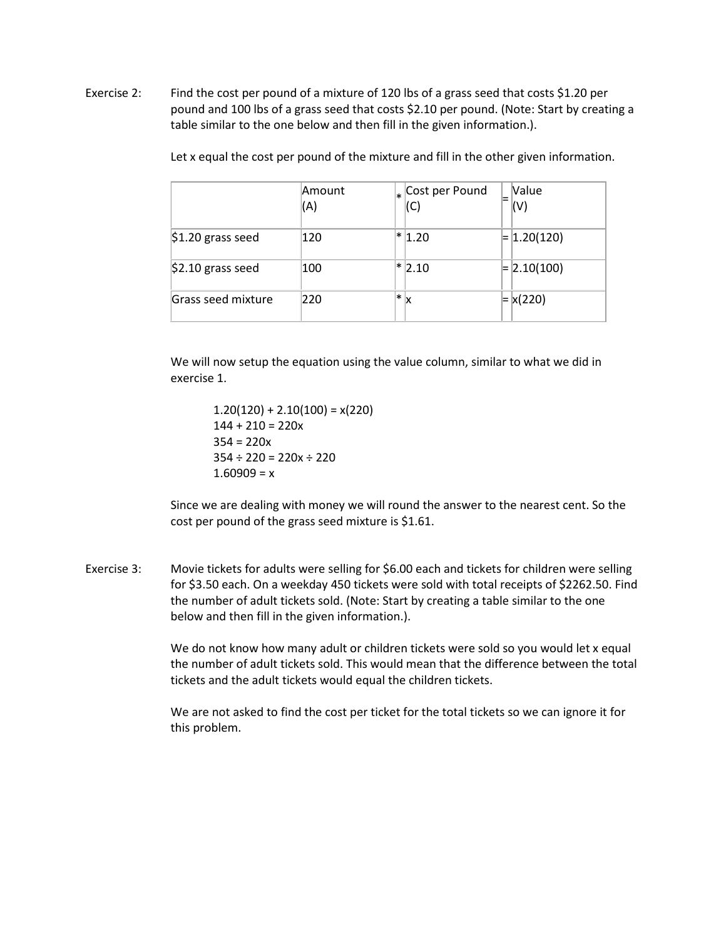Exercise 2: Find the cost per pound of a mixture of 120 lbs of a grass seed that costs \$1.20 per pound and 100 lbs of a grass seed that costs \$2.10 per pound. (Note: Start by creating a table similar to the one below and then fill in the given information.).

|                    | Amount<br>(A) | $\vert_{*}$ Cost per Pound<br>(C) | <b>Value</b><br>$(\vee)$ |
|--------------------|---------------|-----------------------------------|--------------------------|
| $$1.20$ grass seed | 120           | $ * 1.20$                         | $=$ 1.20(120)            |
| $$2.10$ grass seed | 100           | $*$ 2.10                          | $= 2.10(100)$            |
| Grass seed mixture | 220           | $\ast$<br>x                       | $= x(220)$               |

Let x equal the cost per pound of the mixture and fill in the other given information.

We will now setup the equation using the value column, similar to what we did in exercise 1.

> $1.20(120) + 2.10(100) = x(220)$  $144 + 210 = 220x$  $354 = 220x$  $354 \div 220 = 220x \div 220$  $1.60909 = x$

Since we are dealing with money we will round the answer to the nearest cent. So the cost per pound of the grass seed mixture is \$1.61.

Exercise 3: Movie tickets for adults were selling for \$6.00 each and tickets for children were selling for \$3.50 each. On a weekday 450 tickets were sold with total receipts of \$2262.50. Find the number of adult tickets sold. (Note: Start by creating a table similar to the one below and then fill in the given information.).

> We do not know how many adult or children tickets were sold so you would let x equal the number of adult tickets sold. This would mean that the difference between the total tickets and the adult tickets would equal the children tickets.

We are not asked to find the cost per ticket for the total tickets so we can ignore it for this problem.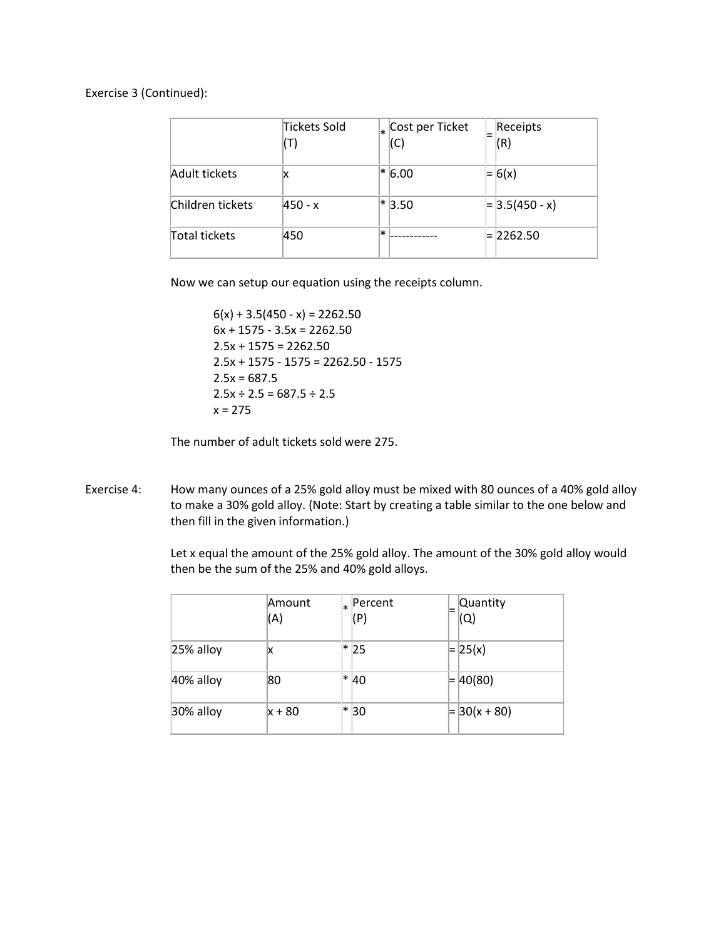Exercise 3 (Continued):

|                      | Tickets Sold | (C)      | $\vert_{*}$ Cost per Ticket | Receipts<br>(R)  |
|----------------------|--------------|----------|-----------------------------|------------------|
| Adult tickets        | ΙX           | $*$ 6.00 |                             | $= 6(x)$         |
| Children tickets     | 450 - x      | $*3.50$  |                             | $= 3.5(450 - x)$ |
| <b>Total tickets</b> | 450          | $\ast$   |                             | $= 2262.50$      |

Now we can setup our equation using the receipts column.

 $6(x) + 3.5(450 - x) = 2262.50$  $6x + 1575 - 3.5x = 2262.50$  $2.5x + 1575 = 2262.50$  $2.5x + 1575 - 1575 = 2262.50 - 1575$  $2.5x = 687.5$  $2.5x \div 2.5 = 687.5 \div 2.5$  $x = 275$ 

The number of adult tickets sold were 275.

Exercise 4: How many ounces of a 25% gold alloy must be mixed with 80 ounces of a 40% gold alloy to make a 30% gold alloy. (Note: Start by creating a table similar to the one below and then fill in the given information.)

> Let x equal the amount of the 25% gold alloy. The amount of the 30% gold alloy would then be the sum of the 25% and 40% gold alloys.

|           | Amount<br>(A) | x | Percent<br>(P) | = | Quantity<br>(Q) |
|-----------|---------------|---|----------------|---|-----------------|
| 25% alloy | x             | ∗ | 25             |   | $= 25(x)$       |
| 40% alloy | 80            |   | * 40           |   | $= 40(80)$      |
| 30% alloy | x + 80        | ∗ | 30             |   | $= 30(x + 80)$  |